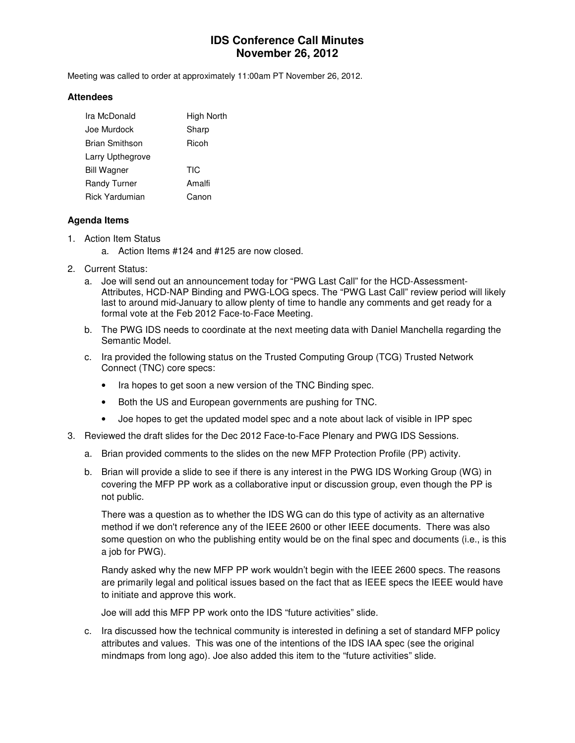# **IDS Conference Call Minutes November 26, 2012**

Meeting was called to order at approximately 11:00am PT November 26, 2012.

#### **Attendees**

| Ira McDonald        | High North |
|---------------------|------------|
| Joe Murdock         | Sharp      |
| Brian Smithson      | Ricoh      |
| Larry Upthegrove    |            |
| <b>Bill Wagner</b>  | TIC        |
| <b>Randy Turner</b> | Amalfi     |
| Rick Yardumian      | Canon      |

### **Agenda Items**

- 1. Action Item Status
	- a. Action Items #124 and #125 are now closed.
- 2. Current Status:
	- a. Joe will send out an announcement today for "PWG Last Call" for the HCD-Assessment-Attributes, HCD-NAP Binding and PWG-LOG specs. The "PWG Last Call" review period will likely last to around mid-January to allow plenty of time to handle any comments and get ready for a formal vote at the Feb 2012 Face-to-Face Meeting.
	- b. The PWG IDS needs to coordinate at the next meeting data with Daniel Manchella regarding the Semantic Model.
	- c. Ira provided the following status on the Trusted Computing Group (TCG) Trusted Network Connect (TNC) core specs:
		- Ira hopes to get soon a new version of the TNC Binding spec.
		- Both the US and European governments are pushing for TNC.
		- Joe hopes to get the updated model spec and a note about lack of visible in IPP spec
- 3. Reviewed the draft slides for the Dec 2012 Face-to-Face Plenary and PWG IDS Sessions.
	- a. Brian provided comments to the slides on the new MFP Protection Profile (PP) activity.
	- b. Brian will provide a slide to see if there is any interest in the PWG IDS Working Group (WG) in covering the MFP PP work as a collaborative input or discussion group, even though the PP is not public.

There was a question as to whether the IDS WG can do this type of activity as an alternative method if we don't reference any of the IEEE 2600 or other IEEE documents. There was also some question on who the publishing entity would be on the final spec and documents (i.e., is this a job for PWG).

Randy asked why the new MFP PP work wouldn't begin with the IEEE 2600 specs. The reasons are primarily legal and political issues based on the fact that as IEEE specs the IEEE would have to initiate and approve this work.

Joe will add this MFP PP work onto the IDS "future activities" slide.

c. Ira discussed how the technical community is interested in defining a set of standard MFP policy attributes and values. This was one of the intentions of the IDS IAA spec (see the original mindmaps from long ago). Joe also added this item to the "future activities" slide.